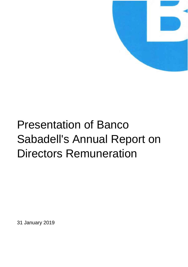

# Presentation of Banco Sabadell's Annual Report on Directors Remuneration

31 January 2019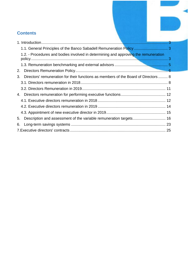# **Contents**

|                                                                                           | 3 |
|-------------------------------------------------------------------------------------------|---|
|                                                                                           |   |
| 1.2. - Procedures and bodies involved in determining and approving the remuneration       |   |
|                                                                                           |   |
| 2.                                                                                        |   |
| Directors' remuneration for their functions as members of the Board of Directors  8<br>3. |   |
|                                                                                           |   |
|                                                                                           |   |
|                                                                                           |   |
|                                                                                           |   |
|                                                                                           |   |
|                                                                                           |   |
| 5.                                                                                        |   |
| 6.                                                                                        |   |
|                                                                                           |   |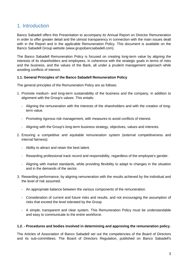# <span id="page-2-0"></span>1. Introduction

Banco Sabadell offers this Presentation to accompany its Annual Report on Director Remuneration in order to offer greater detail and the utmost transparency in connection with the main issues dealt with in the Report and in the applicable Remuneration Policy. This document is available on the Banco Sabadell Group website (www.grupobancsabadell.com).

The Banco Sabadell Remuneration Policy is focused on creating long-term value by aligning the interests of its shareholders and employees, in coherence with the strategic goals in terms of risks and the business, and the values of the Bank, all under a prudent management approach while avoiding conflicts of interest.

## <span id="page-2-1"></span>**1.1. General Principles of the Banco Sabadell Remuneration Policy**

The general principles of the Remuneration Policy are as follows:

- 1. Promote medium- and long-term sustainability of the business and the company, in addition to alignment with the Group's values. This entails:
	- Aligning the remuneration with the interests of the shareholders and with the creation of longterm value.
	- Promoting rigorous risk management, with measures to avoid conflicts of interest.
	- Aligning with the Group's long-term business strategy, objectives, values and interests.
- 2. Ensuring a competitive and equitable remuneration system (external competitiveness and internal fairness):
	- Ability to attract and retain the best talent.
	- Rewarding professional track record and responsibility, regardless of the employee's gender.
	- Aligning with market standards, while providing flexibility to adapt to changes in the situation and in the demands of the sector.
- 3. Rewarding performance, by aligning remuneration with the results achieved by the individual and the level of risk assumed:
	- An appropriate balance between the various components of the remuneration.
	- Consideration of current and future risks and results, and not encouraging the assumption of risks that exceed the level tolerated by the Group.
	- A simple, transparent and clear system. This Remuneration Policy must be understandable and easy to communicate to the entire workforce.

### <span id="page-2-2"></span>**1.2. - Procedures and bodies involved in determining and approving the remuneration policy.**

The Articles of Association of Banco Sabadell set out the competencies of the Board of Directors and its sub-committees. The Board of Directors Regulation, published on Banco Sabadell's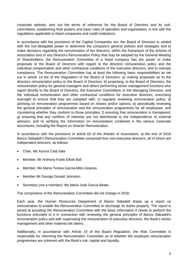corporate website, sets out the terms of reference for the Board of Directors and its subcommittees, establishing their powers and basic rules of operation and organisation, in line with the regulations applicable to listed companies and credit institutions.

In accordance with the provisions of the Capital Companies Act, the Board of Directors is vested with the non-delegable power to determine the company's general policies and strategies and to make decisions regarding the remuneration of the directors, within the framework of the Articles of Association and of any Directors Remuneration Policy that may be adopted by the General Meeting of Shareholders; the Remuneration Committee of a listed company has the power to make proposals to the Board of Directors with regard to the directors remuneration policy and the individual compensation and other contractual conditions of the executive directors, and to oversee compliance. The Remuneration Committee has at least the following basic responsibilities as set out in article 14 bis of the Regulation of the Board of Directors: a) making proposals as to the directors remuneration policy to the Board of Directors; b) proposing, to the Board of Directors, the remuneration policy for general managers and others performing senior management functions who report directly to the Board of Directors, the Executive Committees or the Managing Directors, and the individual remuneration and other contractual conditions for executive directors, exercising oversight to ensure that they are complied with; c) regularly reviewing remuneration policy; d) advising on remuneration programmes based on shares and/or options; e) periodically reviewing the general principles of remuneration and the remuneration programmes for all employees, and considering whether they conform to those principles; f) ensuring that remuneration is transparent; g) ensuring that any conflicts of interests are not detrimental to the independence of external advisors; and h) verifying the information on remuneration contained in the various corporate documents, including the Report on Director Remuneration.

In accordance with the provisions of article 62 of the Articles of Association, at the end of 2018 Banco Sabadell's Remuneration Committee comprised four non-executive directors, all of whom are independent directors, as follows:

- Chair, Ms Aurora Catá Sala
- Member, Mr Anthony Frank Elliott Ball
- Member, Ms María Teresa García-Milá Lloveras.
- Member Mr George Donald Johnston.
- Secretary (not a member): Ms María José García Beato.

The composition of the Remuneration Committee did not change in 2018.

Each year, the Human Resources Department of Banco Sabadell draws up a report on remuneration to enable the Remuneration Committee to discharge its duties properly. The report is aimed at providing the Remuneration Committee with the basic information it needs to perform the functions entrusted to it in connection with reviewing the general principles of Banco Sabadell's remuneration policy and with supervising the remuneration of executive directors, the Bank's senior management and other material risk takers.

Additionally, in accordance with Article 15 of the Board Regulation, the Risk Committee is responsible for informing the Remuneration Committee as to whether the employee remuneration programmes are coherent with the Bank's risk, capital and liquidity.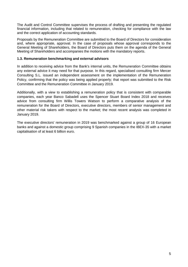The Audit and Control Committee supervises the process of drafting and presenting the regulated financial information, including that related to remuneration, checking for compliance with the law and the correct application of accounting standards.

Proposals by the Remuneration Committee are submitted to the Board of Directors for consideration and, where appropriate, approval. In the case of proposals whose approval corresponds to the General Meeting of Shareholders, the Board of Directors puts them on the agenda of the General Meeting of Shareholders and accompanies the motions with the mandatory reports.

## <span id="page-4-0"></span>**1.3. Remuneration benchmarking and external advisors**

In addition to receiving advice from the Bank's internal units, the Remuneration Committee obtains any external advice it may need for that purpose. In this regard, specialised consulting firm Mercer Consulting S.L. issued an independent assessment on the implementation of the Remuneration Policy, confirming that the policy was being applied properly; that report was submitted to the Risk Committee and the Remuneration Committee in January 2019.

Additionally, with a view to establishing a remuneration policy that is consistent with comparable companies, each year Banco Sabadell uses the Spencer Stuart Board Index 2018 and receives advice from consulting firm Willis Towers Watson to perform a comparative analysis of the remuneration for the Board of Directors, executive directors, members of senior management and other material risk takers with respect to the market; the most recent analysis was completed in January 2019.

The executive directors' remuneration in 2019 was benchmarked against a group of 16 European banks and against a domestic group comprising 9 Spanish companies in the IBEX-35 with a market capitalisation of at least 6 billion euro.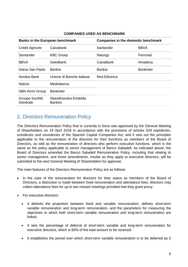| <b>Banks in the European benchmark</b> |                                        | <b>Companies in the domestic benchmark</b> |                  |  |
|----------------------------------------|----------------------------------------|--------------------------------------------|------------------|--|
| Crédit Agricole                        | Caixabank                              | Santander                                  | <b>BBVA</b>      |  |
| Santander                              | <b>KBC Groep</b>                       | Naturgy                                    | Ferrovial        |  |
| <b>BBVA</b>                            | Swedbank                               | CaixaBank                                  | Amadeus          |  |
| Intesa San Paolo                       | <b>Bankia</b>                          | <b>Bankia</b>                              | <b>Bankinter</b> |  |
| Nordea Bank                            | Unione di Banche Italiane              | <b>Red Eléctrica</b>                       |                  |  |
| <b>Natixis</b>                         | Mediobanca                             |                                            |                  |  |
| <b>ABN Amro Group</b>                  | <b>Bankinter</b>                       |                                            |                  |  |
| Groupe Société<br>Générale             | Skandinavska Enskilda<br><b>Banken</b> |                                            |                  |  |

## **COMPANIES USED AS BENCHMARK**

# <span id="page-5-0"></span>2. Directors Remuneration Policy

The Directors Remuneration Policy that is currently in force was approved by the General Meeting of Shareholders on 19 April 2018 in accordance with the provisions of articles 529 *septdecies*, *octodecies* and *novodecies* of the Spanish Capital Companies Act, and it sets out the principles applicable to the remuneration of the directors for their functions as members of the Board of Directors, as well as the remuneration of directors who perform executive functions, which is the same as the policy applicable to senior management of Banco Sabadell. As indicated above, the Board of Directors amended the Banco Sabadell Remuneration Policy, including that relating to senior management, and those amendments, insofar as they apply to executive directors, will be submitted to the next General Meeting of Shareholders for approval.

The main features of the Directors Remuneration Policy are as follows:

- In the case of the remuneration for directors for their status as members of the Board of Directors, a distinction is made between fixed remuneration and attendance fees; directors may collect attendance fees for up to two missed meetings provided that they grant proxy.
- For executive directors:
	- It delimits the proportion between fixed and variable remuneration, defines short-term variable remuneration and long-term remuneration, and the parameters for measuring the objectives to which both short-term variable remuneration and long-term remuneration are linked.
	- It sets the percentage of deferral of short-term variable and long-term remuneration for executive directors, which is 60% of the total amount to be received.
	- It establishes the period over which short-term variable remuneration is to be deferred as 5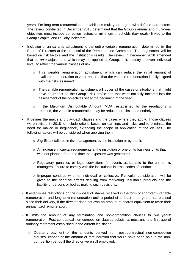years. For long-term remuneration, it establishes multi-year targets with defined parameters. The review conducted in December 2018 determined that the Group's annual and multi-year objectives must include correction factors or minimum thresholds (key goals) linked to the Group's capital and liquidity indicators.

- Inclusion of an *ex ante* adjustment to the entire variable remuneration, determined by the Board of Directors at the proposal of the Remuneration Committee. That adjustment will be based on risk factors and the Institution's results. The review in December 2018 amended that *ex ante* adjustment, which may be applied at Group, unit, country or even individual level, to reflect the various classes of risk.
	- o This variable remuneration adjustment, which can reduce the initial amount of available remuneration to zero, ensures that the variable remuneration is fully aligned with the risks assumed.
	- $\circ$  The variable remuneration adjustment will cover all the cases or situations that might have an impact on the Group's risk profile and that were not fully factored into the assessment of the objectives set at the beginning of the year.
	- $\circ$  If the Maximum Distributable Amount (MDA) established by the regulations is reached, the variable remuneration may be reduced or eliminated entirely.
- It defines the malus and clawback clauses and the cases where they apply. Those clauses were revised in 2018 to include criteria based on earnings and risks, and to eliminate the need for malice or negligence, extending the scope of application of the clauses. The following factors will be considered when applying them:
	- $\circ$  Significant failures in risk management by the institution or by a unit.
	- $\circ$  An increase in capital requirements at the institution or one of its business units that was not planned for at the time the exposure was generated.
	- o Regulatory penalties or legal convictions for events attributable to the unit or its managers. Failure to comply with the institution's internal codes of conduct.
	- o Improper conduct, whether individual or collective. Particular consideration will be given to the negative effects deriving from marketing unsuitable products and the liability of persons or bodies making such decisions.
- It establishes restrictions on the disposal of shares received in the form of short-term variable remuneration and long-term remuneration until a period of at least three years has elapsed since their delivery, if the director does not own an amount of shares equivalent to twice their annual fixed remuneration.
- It limits the amount of any termination and non-competition clauses to two years' remuneration. Post-contractual non-competition clauses subsist at most until the first age of ordinary retirement established in the current legislation.
	- o Quarterly payment of the amounts derived from post-contractual non-competition clauses, capped at the amount of remuneration that would have been paid in the noncompetition period if the director were still employed.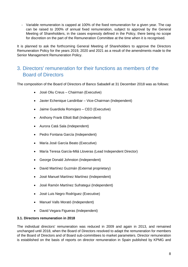- Variable remuneration is capped at 100% of the fixed remuneration for a given year. The cap can be raised to 200% of annual fixed remuneration, subject to approval by the General Meeting of Shareholders, in the cases expressly defined in the Policy, there being no scope for discretion on the part of the Remuneration Committee at the time when it is recognised.

It is planned to ask the forthcoming General Meeting of Shareholders to approve the Directors Remuneration Policy for the years 2019, 2020 and 2021 as a result of the amendments made to the Senior Management Remuneration Policy.

# <span id="page-7-0"></span>3. Directors' remuneration for their functions as members of the Board of Directors

The composition of the Board of Directors of Banco Sabadell at 31 December 2018 was as follows:

- José Oliu Creus Chairman (Executive)
- Javier Echenique Landiribar Vice-Chairman (Independent)
- Jaime Guardiola Romojaro CEO (Executive)
- Anthony Frank Elliott Ball (Independent)
- Aurora Catá Sala (Independent)
- Pedro Fontana García (Independent)
- María José García Beato (Executive)
- María Teresa García-Milá Lloveras (Lead Independent Director)
- George Donald Johnston (Independent)
- David Martínez Guzmán (External proprietary)
- José Manuel Martínez Martínez (Independent)
- José Ramón Martínez Sufrategui (Independent)
- José Luis Negro Rodríguez (Executive)
- Manuel Valls Morató (Independent)
- David Vegara Figueras (Independent)

### <span id="page-7-1"></span>**3.1. Directors remuneration in 2018**

The individual directors' remuneration was reduced in 2009 and again in 2013, and remained unchanged until 2018, when the Board of Directors resolved to adapt the remuneration for members of the Board of Directors and of Board sub-committees to market parameters. Director remuneration is established on the basis of reports on director remuneration in Spain published by KPMG and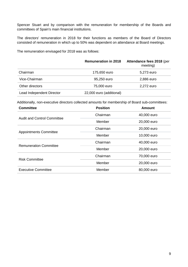Spencer Stuart and by comparison with the remuneration for membership of the Boards and committees of Spain's main financial institutions.

The directors' remuneration in 2018 for their functions as members of the Board of Directors consisted of remuneration in which up to 50% was dependent on attendance at Board meetings.

The remuneration envisaged for 2018 was as follows:

|                           | <b>Remuneration in 2018</b> | Attendance fees 2018 (per<br>meeting) |
|---------------------------|-----------------------------|---------------------------------------|
| Chairman                  | 175,650 euro                | 5,273 euro                            |
| Vice-Chairman             | 95,250 euro                 | 2,886 euro                            |
| Other directors           | 75,000 euro                 | 2,272 euro                            |
| Lead Independent Director | 22,000 euro (additional)    |                                       |

Additionally, non-executive directors collected amounts for membership of Board sub-committees:

| <b>Committee</b>                   | <b>Position</b> | <b>Amount</b> |
|------------------------------------|-----------------|---------------|
| <b>Audit and Control Committee</b> | Chairman        | 40,000 euro   |
|                                    | Member          | 20,000 euro   |
|                                    | Chairman        | 20,000 euro   |
| <b>Appointments Committee</b>      | Member          | 10,000 euro   |
| <b>Remuneration Committee</b>      | Chairman        | 40,000 euro   |
|                                    | Member          | 20,000 euro   |
| <b>Risk Committee</b>              | Chairman        | 70,000 euro   |
|                                    | Member          | 20,000 euro   |
| <b>Executive Committee</b>         | Member          | 80,000 euro   |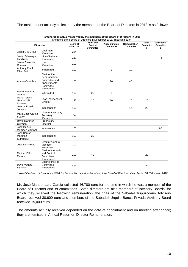The total amount actually collected by the members of the Board of Directors in 2018 is as follows:

| Members of the Board of Directors in December 2018. Thousand euro |                                                                                             |                                     |                                                 |                                  |                                  |                              |                                          |
|-------------------------------------------------------------------|---------------------------------------------------------------------------------------------|-------------------------------------|-------------------------------------------------|----------------------------------|----------------------------------|------------------------------|------------------------------------------|
|                                                                   | <b>Directors</b>                                                                            | <b>Board of</b><br><b>Directors</b> | <b>Audit and</b><br>Control<br><b>Committee</b> | <b>Appointments</b><br>Committee | Remuneration<br><b>Committee</b> | <b>Risk</b><br>Committe<br>е | <b>Executive</b><br><b>Committe</b><br>е |
| Josep Oliu Creus                                                  | Chairman<br>(Executive)                                                                     | 234                                 |                                                 |                                  |                                  |                              |                                          |
| Javier Echenique<br>Landiribar                                    | Vice-Chairman<br>(Independent)                                                              | 127                                 |                                                 |                                  |                                  |                              | 78                                       |
| Jaime Guardiola<br>Romojaro                                       | CEO<br>(Executive)                                                                          | 100                                 |                                                 |                                  |                                  |                              |                                          |
| <b>Anthony Frank</b><br><b>Elliott Ball</b>                       | Independent                                                                                 | 100                                 |                                                 | 9                                | 18                               |                              |                                          |
| Aurora Catá Sala                                                  | Chair of the<br>Remuneration<br>Committee and<br>Appointments<br>Committee<br>(Independent) | 100                                 |                                                 | 20                               | 40                               |                              |                                          |
| Pedro Fontana<br>García                                           | Independent                                                                                 | 100                                 | 20                                              | 8                                |                                  |                              |                                          |
| María Teresa<br>García-Milà<br>Lloveras                           | Lead Independent<br>Director                                                                | 122                                 | 20                                              | 10                               | 20                               | 20                           |                                          |
| George Donald<br>Johnston                                         | Independent                                                                                 | 100                                 |                                                 |                                  | 17                               | 20                           |                                          |
| María José García<br>Beato*                                       | Director-Company<br>Secretary<br>(Executive)                                                | 34                                  |                                                 |                                  |                                  |                              |                                          |
| David Martínez<br>Guzmán                                          | Proprietary<br>External                                                                     | 100                                 |                                                 |                                  |                                  |                              |                                          |
| José Manuel<br>Martínez Martínez                                  | Independent                                                                                 | 100                                 |                                                 |                                  |                                  |                              | 80                                       |
| José Ramón<br>Martínez<br>Sufrategui                              | Independent                                                                                 | 100                                 | 20                                              |                                  |                                  |                              |                                          |
| José Luis Negro                                                   | Director-General<br>Manager<br>(Executive)                                                  | 100                                 |                                                 |                                  |                                  |                              |                                          |
| <b>Manuel Valls</b><br>Morató                                     | Chair of the Audit<br>and Control<br>Committee<br>(Independent)                             | 100                                 | 40                                              |                                  |                                  | 20                           |                                          |
| David Vegara<br>Figueras                                          | Chair of the Risk<br>Committee<br>(Independent)                                             | 100                                 |                                                 |                                  |                                  | 70                           |                                          |

**Remuneration actually received by the members of the Board of Directors in 2018**

\*Joined the Board of Directors in 2018 For her functions as Vice-Secretary of the Board of Directors, she collected 54,700 euro in 2018.

Mr. José Manuel Lara García collected 46,780 euro for the time in which he was a member of the Board of Directors and its committees. Some directors are also members of Advisory Boards, for which they received the following remuneration: the chair of the SabadellGuipuzcoano Advisory Board received 30,600 euro and members of the Sabadell Urquijo Banca Privada Advisory Board received 15,000 euro.

The amounts actually received depended on the date of appointment and on meeting attendance; they are itemised in Annual Report on Director Remuneration.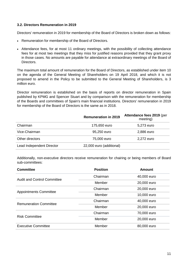## <span id="page-10-0"></span>**3.2. Directors Remuneration in 2019**

Directors' remuneration in 2019 for membership of the Board of Directors is broken down as follows:

- Remuneration for membership of the Board of Directors.
- Attendance fees, for at most 11 ordinary meetings, with the possibility of collecting attendance fees for at most two meetings that they miss for justified reasons provided that they grant proxy in those cases. No amounts are payable for attendance at extraordinary meetings of the Board of Directors.

The maximum total amount of remuneration for the Board of Directors, as established under item 10 on the agenda of the General Meeting of Shareholders on 19 April 2018, and which it is not proposed to amend in the Policy to be submitted to the General Meeting of Shareholders, is 3 million euro.

Director remuneration is established on the basis of reports on director remuneration in Spain published by KPMG and Spencer Stuart and by comparison with the remuneration for membership of the Boards and committees of Spain's main financial institutions. Directors' remuneration in 2019 for membership of the Board of Directors is the same as in 2018.

|                           | <b>Remuneration in 2019</b> | Attendance fees 2019 (per<br>meeting) |
|---------------------------|-----------------------------|---------------------------------------|
| Chairman                  | 175,650 euro                | 5,273 euro                            |
| Vice-Chairman             | 95,250 euro                 | 2,886 euro                            |
| Other directors           | 75,000 euro                 | 2,272 euro                            |
| Lead Independent Director | 22,000 euro (additional)    |                                       |

Additionally, non-executive directors receive remuneration for chairing or being members of Board sub-committees:

| <b>Committee</b>                   | <b>Position</b> | <b>Amount</b> |
|------------------------------------|-----------------|---------------|
| <b>Audit and Control Committee</b> | Chairman        | 40,000 euro   |
|                                    | Member          | 20,000 euro   |
| <b>Appointments Committee</b>      | Chairman        | 20,000 euro   |
|                                    | Member          | 10,000 euro   |
| <b>Remuneration Committee</b>      | Chairman        | 40,000 euro   |
|                                    | Member          | 20,000 euro   |
| <b>Risk Committee</b>              | Chairman        | 70,000 euro   |
|                                    | Member          | 20,000 euro   |
| <b>Executive Committee</b>         | Member          | 80,000 euro   |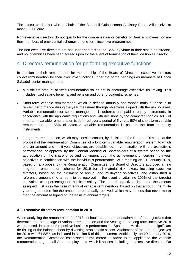The executive director who is Chair of the Sabadell Guipuzcoano Advisory Board will receive at most 30,600 euro.

Non-executive directors do not qualify for the compensation or benefits of Bank employees nor are they members of providential schemes or long-term incentive programmes.

The non-executive directors are not under contract to the Bank by virtue of their status as director, and no indemnities have been agreed upon for the event of termination of their position as director.

# <span id="page-11-0"></span>4. Directors remuneration for performing executive functions

In addition to their remuneration for membership of the Board of Directors, executive directors collect remuneration for their executive functions under the same headings as members of Banco Sabadell senior management:

- A sufficient amount of fixed remuneration so as not to encourage excessive risk-taking. This includes fixed salary, benefits, and pension and other providential schemes.
- Short-term variable remuneration, which is defined annually and whose main purpose is to reward performance during the year measured through objectives aligned with the risk incurred. Variable remuneration for senior management is deferred and paid in equity instruments, in accordance with the applicable regulations and with decisions by the competent bodies. 60% of short-term variable remuneration is deferred over a period of 5 years. 50% of short-term variable remuneration and 55% of deferred variable remuneration is paid in the form of equity instruments.
- Long-term remuneration, which may consist, consist, by decision of the Board of Directors at the proposal of the Remuneration Committee, of a long-term variable remuneration system, to which end an amount and multi-year objectives are established, in combination with the executive's performance; or approval by the General Meeting of Shareholders of a system based on the appreciation of the share price and contingent upon the achievement of certain multi-year objectives in combination with the individual's performance. At a meeting on 31 January 2019, based on a proposal by the Remuneration Committee, the Board of Directors approved a new long-term remuneration scheme for 2019 for all material risk takers, including executive directors, based on the fulfilment of annual and multi-year objectives, and established a reference amount (the amount to be received in the event of attaining 100% of the targets) equivalent to a percentage of the fixed salary. The annual objectives determine the amount assigned, just as in the case of annual variable remuneration. Based on that amount, the multiyear targets determine the amount to be actually received, which may be less (but never more) than the amount assigned on the basis of annual targets.

### <span id="page-11-1"></span>**4.1. Executive directors remuneration in 2018**

When analysing the remuneration for 2018, it should be noted that attainment of the objectives that determine the percentage of variable remuneration and the vesting of the long-term incentive 2018 was reduced, in spite of the positive business performance in Spain and Mexico and the significant de-risking of the balance sheet by divesting problematic assets. Attainment of the Group objectives for 2018 was 61.83%, as indicated in section 5 of this document. Additionally, on 29 January 2019, the Remuneration Committee established a 5% correction factor to be applied to the variable remuneration target of all Group employees to which it applies, including the executive directors. On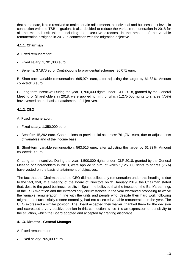that same date, it also resolved to make certain adjustments, at individual and business unit level, in connection with the TSB migration. It also decided to reduce the variable remuneration in 2018 for all the material risk takers, including the executive directors, in the amount of the variable remuneration assigned in 2017 in connection with the migration objective.

# **4.1.1. Chairman**

- A. Fixed remuneration:
- $\bullet$  Fixed salary: 1,701,000 euro.
- **Benefits: 37,870 euro. Contributions to providential schemes: 36,071 euro.**

B. Short-term variable remuneration: 665,974 euro, after adjusting the target by 61.83%. Amount collected: 0 euro.

C. Long-term incentive: During the year, 1,700,000 rights under ICLP 2018, granted by the General Meeting of Shareholders in 2018, were applied to him, of which 1,275,000 rights to shares (75%) have vested on the basis of attainment of objectives.

# **4.1.2. CEO**

A. Fixed remuneration:

- Fixed salary: 1,350,000 euro.
- Benefits: 15,292 euro. Contributions to providential schemes: 761,761 euro, due to adjustments of variables and of the income base.

B. Short-term variable remuneration: 563,516 euro, after adjusting the target by 61.83%. Amount collected: 0 euro

C. Long-term incentive: During the year, 1,500,000 rights under ICLP 2018, granted by the General Meeting of Shareholders in 2018, were applied to him, of which 1,125,000 rights to shares (75%) have vested on the basis of attainment of objectives.

The fact that the Chairman and the CEO did not collect any remuneration under this heading is due to the fact, that, at a meeting of the Board of Directors on 31 January 2019, the Chairman stated that, despite the good business results in Spain, he believed that the impact on the Bank's earnings of the TSB migration and the extraordinary circumstances in the year warranted proposing to waive the variable remuneration in line with the units and people who, despite their hard work following migration to successfully restore normality, had not collected variable remuneration in the year. The CEO expressed a similar position. The Board accepted their waiver, thanked them for the decision and expressed a very positive opinion in this connection, since it is an expression of sensitivity to the situation, which the Board adopted and accepted by granting discharge.

# **4.1.3. Director - General Manager**

A. Fixed remuneration

Fixed salary: 705,000 euro.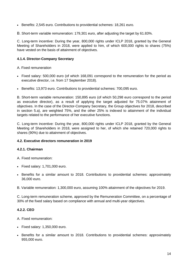Benefits: 2,545 euro. Contributions to providential schemes: 18,261 euro.

B. Short-term variable remuneration: 179,301 euro, after adjusting the target by 61.83%.

C. Long-term incentive: During the year, 800,000 rights under ICLP 2018, granted by the General Meeting of Shareholders in 2018, were applied to him, of which 600,000 rights to shares (75%) have vested on the basis of attainment of objectives.

# **4.1.4. Director-Company Secretary**

A. Fixed remuneration

- Fixed salary: 500,000 euro (of which 168,091 correspond to the remuneration for the period as executive director, i.e. from 17 September 2018).
- Benefits: 13,973 euro. Contributions to providential schemes: 700,095 euro.

B. Short-term variable remuneration: 150,895 euro (of which 50,298 euro correspond to the period as executive director), as a result of applying the target adjusted for 75.07% attainment of objectives. In the case of the Director-Company Secretary, the Group objectives for 2018, described in section 5.a), are weighted 75%, and the other 25% is indexed to attainment of the individual targets related to the performance of her executive functions.

C. Long-term incentive: During the year, 800,000 rights under ICLP 2018, granted by the General Meeting of Shareholders in 2018, were assigned to her, of which she retained 720,000 rights to shares (90%) due to attainment of objectives.

# <span id="page-13-0"></span>**4.2. Executive directors remuneration in 2019**

# **4.2.1. Chairman**

- A. Fixed remuneration:
- $\bullet$  Fixed salary: 1,701,000 euro.
- Benefits for a similar amount to 2018. Contributions to providential schemes: approximately 36,000 euro.
- B. Variable remuneration: 1,300,000 euro, assuming 100% attainment of the objectives for 2019.

C. Long-term remuneration scheme, approved by the Remuneration Committee, on a percentage of 30% of the fixed salary based on compliance with annual and multi-year objectives.

# **4.2.2. CEO**

- A. Fixed remuneration:
- Fixed salary: 1,350,000 euro.
- Benefits for a similar amount to 2018. Contributions to providential schemes: approximately 955,000 euro.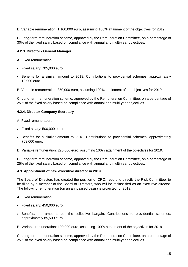B. Variable remuneration: 1,100,000 euro, assuming 100% attainment of the objectives for 2019.

C. Long-term remuneration scheme, approved by the Remuneration Committee, on a percentage of 30% of the fixed salary based on compliance with annual and multi-year objectives.

## **4.2.3. Director - General Manager**

A. Fixed remuneration:

- Fixed salary: 705,000 euro.
- Benefits for a similar amount to 2018. Contributions to providential schemes: approximately 18,000 euro.

B. Variable remuneration: 350,000 euro, assuming 100% attainment of the objectives for 2019.

C. Long-term remuneration scheme, approved by the Remuneration Committee, on a percentage of 25% of the fixed salary based on compliance with annual and multi-year objectives.

### **4.2.4. Director-Company Secretary**

A. Fixed remuneration:

- Fixed salary: 500,000 euro.
- Benefits for a similar amount to 2018. Contributions to providential schemes: approximately 703,000 euro.
- B. Variable remuneration: 220,000 euro, assuming 100% attainment of the objectives for 2019.

C. Long-term remuneration scheme, approved by the Remuneration Committee, on a percentage of 25% of the fixed salary based on compliance with annual and multi-year objectives.

### <span id="page-14-0"></span>**4.3. Appointment of new executive director in 2019**

The Board of Directors has created the position of CRO, reporting directly the Risk Committee, to be filled by a member of the Board of Directors, who will be reclassified as an executive director. The following remuneration (on an annualised basis) is projected for 2019:

- A. Fixed remuneration:
- Fixed salary: 450,000 euro.
- Benefits: the amounts per the collective bargain. Contributions to providential schemes: approximately 85,500 euro.

B. Variable remuneration: 100,000 euro, assuming 100% attainment of the objectives for 2019.

C. Long-term remuneration scheme, approved by the Remuneration Committee, on a percentage of 25% of the fixed salary based on compliance with annual and multi-year objectives.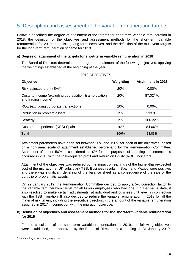# <span id="page-15-0"></span>5. Description and assessment of the variable remuneration targets

Below is described the degree of attainment of the targets for short-term variable remuneration in 2018, the definition of the objectives and assessment methods for the short-term variable remuneration for 2019, the existing long-term incentives, and the definition of the multi-year targets for the long-term remuneration scheme for 2019.

### **a) Degree of attainment of the targets for short-term variable remuneration in 2018**

The Board of Directors determined the degree of attainment of the following objectives, applying the weightings established at the beginning of the year:

| <b>Objective</b>                                                              | Weighting  | <b>Attainment in 2018</b> |
|-------------------------------------------------------------------------------|------------|---------------------------|
| Risk-adjusted profit (EVA)                                                    | 20%        | 0.00%                     |
| Costs-to-income (excluding depreciation & amortisation<br>and trading income) | 20%        | $87.02^1$ %               |
| ROE (excluding corporate transactions)                                        | <b>20%</b> | $0.00\%$                  |
| Reduction in problem assets                                                   | 15%        | 133.9%                    |
| Strategy                                                                      | 15%        | 106.22%                   |
| Customer experience (NPS) Spain                                               | 10%        | 84.06%                    |
| <b>Total</b>                                                                  | 100%       | 61.83%                    |

#### 2018 OBJECTIVES

Attainment parameters have been set between 50% and 150% for each of the objectives, based on a non-linear scale of attainment established beforehand by the Remuneration Committee. Attainment of under 50% is considered as 0% for the purposes of counting attainment; this occurred in 2018 with the Risk-adjusted profit and Return on Equity (ROE) indicators.

Attainment of the objectives was reduced by the impact on earnings of the higher-than-expected cost of the migration at UK subsidiary TSB. Business results in Spain and Mexico were positive, and there was significant derisking of the balance sheet as a consequence of the sale of the portfolio of problematic assets.

On 29 January 2019, the Remuneration Committee decided to apply a 5% correction factor to the variable remuneration target for all Group employees who had one. On that same date, it also resolved to make certain adjustments, at individual and business unit level, in connection with the TSB migration. It also decided to reduce the variable remuneration in 2018 for all the material risk takers, including the executive directors, in the amount of the variable remuneration assigned in 2017 in connection with the migration objective.

### **b) Definition of objectives and assessment methods for the short-term variable remuneration for 2019**

For the calculation of the short-term variable remuneration for 2019, the following objectives were established, and approved by the Board of Directors at a meeting on 31 January 2019,

 $\overline{a}$ 

<sup>&</sup>lt;sup>1</sup> Not including extraordinary expenses.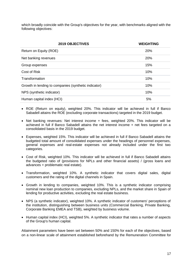which broadly coincide with the Group's objectives for the year, with benchmarks aligned with the following objectives:

| <b>2019 OBJECTIVES</b>                               | <b>WEIGHTING</b> |
|------------------------------------------------------|------------------|
| Return on Equity (ROE)                               | <b>20%</b>       |
| Net banking revenues                                 | 20%              |
| Group expenses                                       | 15%              |
| Cost of Risk                                         | 10%              |
| Transformation                                       | 10%              |
| Growth in lending to companies (synthetic indicator) | 10%              |
| NPS (synthetic indicator)                            | 10%              |
| Human capital index (HCI)                            | 5%               |

- ROE (Return on equity), weighted 20%. This indicator will be achieved in full if Banco Sabadell attains the ROE (excluding corporate transactions) targeted in the 2019 budget.
- Net banking revenues: Net interest income + fees, weighted 20%. This indicator will be achieved in full if Banco Sabadell attains the net interest income + net fees targeted on a consolidated basis in the 2019 budget.
- Expenses, weighted 15%. This indicator will be achieved in full if Banco Sabadell attains the budgeted total amount of consolidated expenses under the headings of personnel expenses, general expenses and real-estate expenses not already included under the first two categories.
- Cost of Risk, weighted 10%. This indicator will be achieved in full if Banco Sabadell attains the budgeted ratio of (provisions for NPLs and other financial assets) / (gross loans and advances + problematic real estate).
- Transformation, weighted 10%. A synthetic indicator that covers digital sales, digital customers and the rating of the digital channels in Spain.
- Growth in lending to companies, weighted 10%. This is a synthetic indicator comprising nominal new loan production to companies, excluding NPLs, and the market share in Spain of lending for productive activities, excluding the real estate business.
- NPS (a synthetic indicator), weighted 10%. A synthetic indicator of customers' perceptions of the institution, distinguishing between business units (Commercial Banking, Private Banking, Corporate Banking EMEA and TSB), weighted by business volume.
- Human capital index (HCI), weighted 5%. A synthetic indicator that rates a number of aspects of the Group's human capital.

Attainment parameters have been set between 50% and 150% for each of the objectives, based on a non-linear scale of attainment established beforehand by the Remuneration Committee for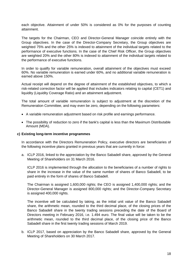each objective. Attainment of under 50% is considered as 0% for the purposes of counting attainment.

The targets for the Chairman, CEO and Director-General Manager coincide entirely with the Group objectives. In the case of the Director-Company Secretary, the Group objectives are weighted 75% and the other 25% is indexed to attainment of the individual targets related to the performance of executive functions. In the case of the Chief Risk Officer, the Group objectives are weighted 20% and the other 80% is indexed to attainment of the individual targets related to the performance of executive functions.

In order to qualify for variable remuneration, overall attainment of the objectives must exceed 60%. No variable remuneration is earned under 60%, and no additional variable remuneration is earned above 150%.

Actual receipt will depend on the degree of attainment of the established objectives, to which a risk-related correction factor will be applied that includes indicators relating to capital (CET1) and liquidity (Liquidity Coverage Ratio) and an attainment adjustment.

The total amount of variable remuneration is subject to adjustment at the discretion of the Remuneration Committee, and may even be zero, depending on the following parameters:

- A variable remuneration adjustment based on risk profile and earnings performance.
- The possibility of reduction to zero if the bank's capital is less than the Maximum Distributable Amount (MDA).

#### **c) Existing long-term incentive programmes**

In accordance with the Directors Remuneration Policy, executive directors are beneficiaries of the following incentive plans granted in previous years that are currently in force:

a. ICLP 2016, linked to the appreciation by the Banco Sabadell share, approved by the General Meeting of Shareholders on 31 March 2016.

ICLP 2016 is implemented through the allocation to the beneficiaries of a number of rights to share in the increase in the value of the same number of shares of Banco Sabadell, to be paid entirely in the form of shares of Banco Sabadell.

The Chairman is assigned 1,600,000 rights; the CEO is assigned 1,400,000 rights; and the Director-General Manager is assigned 800,000 rights; and the Director-Company Secretary is assigned 400,000 rights.

The incentive will be calculated by taking, as the initial unit value of the Banco Sabadell share, the arithmetic mean, rounded to the third decimal place, of the closing prices of the Banco Sabadell share in the twenty trading sessions preceding the date of the Board of Directors meeting in February 2016, i.e. 1.494 euro. The final value will be taken to be the arithmetic mean, rounded to the third decimal place, of the closing price of the Banco Sabadell share in the first twenty trading sessions of March 2019.

b. ICLP 2017, based on appreciation by the Banco Sabadell share, approved by the General Meeting of Shareholders on 30 March 2017.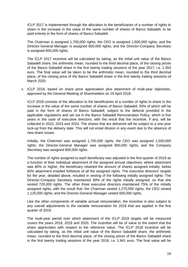ICLP 2017 is implemented through the allocation to the beneficiaries of a number of rights to share in the increase in the value of the same number of shares of Banco Sabadell, to be paid entirely in the form of shares of Banco Sabadell.

The Chairman is assigned 1,700,000 rights; the CEO is assigned 1,500,000 rights; and the Director-General Manager is assigned 800,000 rights; and the Director-Company Secretary is assigned 600,000 rights.

The ICLP 2017 incentive will be calculated by taking, as the initial unit value of the Banco Sabadell share, the arithmetic mean, rounded to the third decimal place, of the closing prices of the Banco Sabadell share in the first twenty trading sessions of the year 2017, i.e. 1.353 euro. The final value will be taken to be the arithmetic mean, rounded to the third decimal place, of the closing price of the Banco Sabadell share in the first twenty trading sessions of March 2020.

c. ICLP 2018, based on share price appreciation plus attainment of multi-year objectives, approved by the General Meeting of Shareholders on 19 April 2018.

ICLP 2018 consists of the allocation to the beneficiaries of a number of rights to share in the increase in the value of the same number of shares of Banco Sabadell, 55% of which will be paid in the form of shares of Banco Sabadell, subject to the deferral provided in the applicable regulations and set out in the Banco Sabadell Remuneration Policy, which is five years in the case of executive directors, with the result that the incentive, if any, will be collected in 2022, 2023 and 2024. The shares that are delivered will be subject to a one-year lock-up from the delivery date. This will not entail dilution in any event due to the absence of new share issues.

Initially, the Chairman was assigned 1,700,000 rights; the CEO was assigned 1,500,000 rights; the Director-General Manager was assigned 800,000 rights; and the Company Secretary was assigned 800,000 rights.

The number of rights assigned to each beneficiary was adjusted in the first quarter of 2019 as a function of their individual attainment of the assigned annual objectives; where attainment was 80% or higher, the beneficiary retained the amount of shares assigned initially; below 60% attainment entailed forfeiture of all the assigned rights. The executive directors' targets for the year, detailed above, resulted in vesting of the following initially assigned rights: The Director-Company Secretary maintained 90% of the rights initially assigned, so that she vested 720,000 rights. The other three executive directors maintained 75% of the initially assigned rights, with the result that: the Chairman vested 1,275,000 rights; the CEO vested 1,125,000 rights; and the Director-General Manager vested 600,000 rights.

Like the other components of variable annual remuneration, the incentive is also subject to any overall adjustments to the variable remuneration for 2018 that are applied in the first quarter of 2019.

The multi-year period over which attainment of the ICLP 2018 targets will be measured covers the years 2018, 2019 and 2020. The incentive will be of value to the extent that the share appreciates with respect to the reference value. The ICLP 2018 incentive will be calculated by taking, as the initial unit value of the Banco Sabadell share, the arithmetic mean, rounded to the third decimal place, of the closing prices of the Banco Sabadell share in the first twenty trading sessions of the year 2018, i.e. 1.841 euro. The final value will be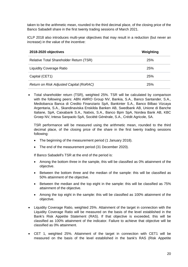taken to be the arithmetic mean, rounded to the third decimal place, of the closing price of the Banco Sabadell share in the first twenty trading sessions of March 2021.

ICLP 2018 also introduces multi-year objectives that may result in a reduction (but never an increase) in the value of the incentive:

| 2018-2020 objectives                    | Weighting  |
|-----------------------------------------|------------|
| Relative Total Shareholder Return (TSR) | <b>25%</b> |
| <b>Liquidity Coverage Ratio</b>         | <b>25%</b> |
| Capital (CET1)                          | <b>25%</b> |
| Return on Risk Adjusted Capital (RoRAC) | 25%        |

 Total shareholder return (TSR), weighted 25%. TSR will be calculated by comparison with the following peers: ABN AMRO Group NV, Bankia, S.A., Banco Santander, S.A., Mediobanca Banca di Credito Finanziario SpA, Bankinter S.A., Banco Bilbao Vizcaya Argentaria, S.A., Skandinaviska Enskilda Banken AB, Swedbank AB, Unione di Banche Italiane, SpA, Caixabank S.A., Natixis, S.A., Banco Bpm SpA, Nordea Bank AB, KBC Groep NV, Intesa Sanpaolo SpA, Société Générale, S.A., Crédit Agricole, SA.

TSR performance will be measured using the arithmetic mean, rounded to the third decimal place, of the closing price of the share in the first twenty trading sessions following:

- The beginning of the measurement period (1 January 2018).
- The end of the measurement period (31 December 2020).

If Banco Sabadell's TSR at the end of the period is:

- Among the bottom three in the sample, this will be classified as 0% attainment of the objective.
- Between the bottom three and the median of the sample: this will be classified as 50% attainment of the objective.
- Between the median and the top eight in the sample: this will be classified as 75% attainment of the objective.
- Among the top eight in the sample: this will be classified as 100% attainment of the objective.
- Liquidity Coverage Ratio, weighted 25%. Attainment of the target in connection with the Liquidity Coverage Ratio will be measured on the basis of the level established in the Bank's Risk Appetite Statement (RAS). If that objective is exceeded, this will be classified as 100% attainment of the indicator. Failure to achieve that objective will be classified as 0% attainment.
- CET 1, weighted 25%. Attainment of the target in connection with CET1 will be measured on the basis of the level established in the bank's RAS (Risk Appetite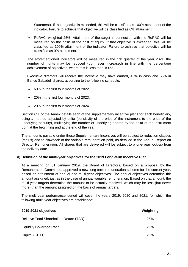Statement). If that objective is exceeded, this will be classified as 100% attainment of the indicator. Failure to achieve that objective will be classified as 0% attainment.

• RoRAC, weighted 25%. Attainment of the target in connection with the RoRAC will be measured on the basis of the cost of equity. If that objective is exceeded, this will be classified as 100% attainment of the indicator. Failure to achieve that objective will be classified as 0% attainment.

The aforementioned indicators will be measured in the first quarter of the year 2021; the number of rights may be reduced (but never increased) in line with the percentage achievement of objectives, where this is less than 100%.

Executive directors will receive the incentive they have earned, 45% in cash and 55% in Banco Sabadell shares, according to the following schedule:

- 60% in the first four months of 2022.
- 20% in the first four months of 2023.
- 20% in the first four months of 2024.

Section C.1 of the Annex details each of the supplementary incentive plans for each beneficiary, using a method adjusted by delta (sensitivity of the price of the instrument to the price of the underlying security), multiplying the number of underlying shares by the delta of the instrument both at the beginning and at the end of the year.

The amounts payable under these Supplementary Incentives will be subject to reduction clauses (malus) and to clawback of the variable remuneration paid, as detailed in the Annual Report on Director Remuneration. All shares that are delivered will be subject to a one-year lock-up from the delivery date.

### **d) Definition of the multi-year objectives for the 2019 Long-term Incentive Plan**

At a meeting on 31 January 2019, the Board of Directors, based on a proposal by the Remuneration Committee, approved a new long-term remuneration scheme for the current year, based on attainment of annual and multi-year objectives. The annual objectives determine the amount assigned, just as in the case of annual variable remuneration. Based on that amount, the multi-year targets determine the amount to be actually received, which may be less (but never more) than the amount assigned on the basis of annual targets.

The multi-year performance period will cover the years 2019, 2020 and 2021, for which the following multi-year objectives are established:

| 2019-2021 objectives                    | Weighting |
|-----------------------------------------|-----------|
| Relative Total Shareholder Return (TSR) | 25%       |
| <b>Liquidity Coverage Ratio</b>         | 25%       |
| Capital (CET1)                          | 25%       |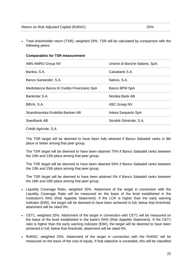#### **Comparables for TSR measurement**

| ABN AMRO Group NV                           | Unione di Banche Italiane, SpA, |
|---------------------------------------------|---------------------------------|
| Bankia, S.A.                                | Caixabank S.A.                  |
| Banco Santander, S.A.                       | Natixis, S.A.                   |
| Mediobanca Banca di Credito Finanziario SpA | Banco BPM SpA                   |
| Bankinter S.A.                              | Nordea Bank AB                  |
| BBVA, S.A.                                  | <b>KBC Groep NV</b>             |
| Skandinaviska Enskilda Banken AB            | Intesa Sanpaolo SpA             |
| Swedbank AB                                 | Société Générale, S.A.          |
| Crédit Agricole, S.A.                       |                                 |

The TSR target will be deemed to have been fully attained if Banco Sabadell ranks in 9th place or better among that peer group.

The TSR target will be deemed to have been attained 75% if Banco Sabadell ranks between the 10th and 12th place among that peer group.

The TSR target will be deemed to have been attained 50% if Banco Sabadell ranks between the 13th and 15th place among that peer group.

The TSR target will be deemed to have been attained 0% if Banco Sabadell ranks between the 16th and 18th place among that peer group.

- Liquidity Coverage Ratio, weighted 25%. Attainment of the target in connection with the Liquidity Coverage Ratio will be measured on the basis of the level established in the Institution's RAS (Risk Appetite Statement). If the LCR is higher than the early warning indicator (EWI), the target will be deemed to have been achieved in full; below that threshold, attainment will be rated 0%.
- CET1, weighted 25%. Attainment of the target in connection with CET1 will be measured on the basis of the level established in the bank's RAS (Risk Appetite Statement). If the CET1 ratio is higher than the early warning indicator (EWI), the target will be deemed to have been achieved in full; below that threshold, attainment will be rated 0%.
- RoRAC, weighted 25%. Attainment of the target in connection with the RoRAC will be measured on the basis of the cost of equity. If that objective is exceeded, this will be classified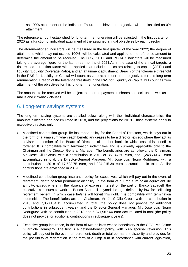as 100% attainment of the indicator. Failure to achieve that objective will be classified as 0% attainment.

The reference amount established for long-term remuneration will be adjusted in the first quarter of 2020 as a function of individual attainment of the assigned annual objectives by each director

The aforementioned indicators will be measured in the first quarter of the year 2022; the degree of attainment, which may not exceed 100%, will be calculated and applied to the reference amount to determine the amount to be received. The LCR, CET1 and RORAC indicators will be measured taking the average figure for the last three months of 2021.As in the case of the annual targets, a risk-related correction factor will be applied that includes indicators relating to capital (CET1) and liquidity (Liquidity Coverage Ratio), and an attainment adjustment. Breach of the tolerance threshold in the RAS for Liquidity or Capital will count as zero attainment of the objectives for this long-term remuneration. Breach of the tolerance threshold in the RAS for Liquidity or Capital will count as zero attainment of the objectives for this long-term remuneration.

The amounts to be received will be subject to deferral, payment in shares and lock-up, as well as malus and clawback clauses.

# <span id="page-22-0"></span>6. Long-term savings systems

The long-term saving systems are detailed below, along with their individual characteristics, the amounts allocated and accumulated in 2018, and the projections for 2019. Those systems apply to executive directors only.

- A defined-contribution group life insurance policy for the Board of Directors, which pays out in the form of a lump sum when each beneficiary ceases to be a director, except where they act as advisor or member of the Board of Directors of another bank, in which case this benefit is forfeited It is compatible with termination indemnities and is currently applicable only to the Chairman and the Director-General Manager. The beneficiaries are as follows: the Chairman, Mr. José Oliu Creus, with a contribution in 2018 of 35,047.50 euro, and 1,248,741.42 euro accumulated in total; the Director-General Manager, Mr. José Luis Negro Rodríguez, with a contribution in 2018 of 17,523.75 euro, and 224,215.39 euro accumulated in total. Similar contributions are envisaged in 2019.
- A defined-contribution group insurance policy for executives, which will pay out in the event of retirement, death or total permanent disability, in the form of a lump sum or an equivalent life annuity, except where, in the absence of express interest on the part of Banco Sabadell, the executive continues to work at Banco Sabadell beyond the age defined by law for collecting retirement benefit, in which case he/she will forfeit this right. It is compatible with termination indemnities. The beneficiaries are the Chairman, Mr. José Oliu Creus, with no contribution in 2018 and 7,050,104.15 accumulated in total (the policy does not provide for additional contributions in subsequent years), and the Director-General Manager, Mr. José Luis Negro Rodríguez, with no contribution in 2018 and 5,041,967.64 euro accumulated in total (the policy does not provide for additional contributions in subsequent years).
- Executive group insurance, in the form of two policies whose beneficiary is the CEO, Mr. Jaime Guardiola Romojaro. The first is a defined-benefit policy, with 50% spousal reversion. This policy will pay out in the event of retirement, death or total permanent disability and provides for the possibility of redemption in the form of a lump sum in accordance with current legislation,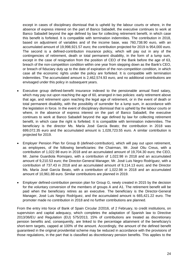except in cases of disciplinary dismissal that is upheld by the labour courts or where, in the absence of express interest on the part of Banco Sabadell, the executive continues to work at Banco Sabadell beyond the age defined by law for collecting retirement benefit, in which case this benefit is forfeited. It is compatible with termination indemnities. The contribution in 2018, based on adjustment of variables and of the income base, was 760,738.90 euro, with an accumulated amount of 19,998,921.57 euro; the contribution projected for 2019 is 954,000 euro. The second is a defined-contribution insurance policy, which will pay out in any of the contingencies of retirement, death or total permanent disability, in the form of a lump sum, except in the case of resignation from the position of CEO of the Bank before the age of 63, breach of the non-competition condition within one year from stepping down as the Bank's CEO, or breach of fiduciary duty up to the date of expiration of the non-competition condition, in which case all the economic rights under the policy are forfeited. It is compatible with termination indemnities. The accumulated amount is 2,462,574.93 euro, and no additional contributions are envisaged under this policy in subsequent years.

- Executive group defined-benefit insurance indexed to the pensionable annual fixed salary, which may pay out upon reaching the age of 60, arranged in two policies: early retirement above that age, and retirement upon reaching the legal age of retirement, or in the event of death or total permanent disability, with the possibility of surrender for a lump sum, in accordance with the legislation in force. In the event of disciplinary dismissal that is upheld by the labour courts or where, in the absence of express interest on the part of Banco Sabadell, the executive continues to work at Banco Sabadell beyond the age defined by law for collecting retirement benefit, in which case the right is forfeited. It is compatible with termination indemnities. The beneficiary is the director Ms. María José García Beato; the contribution in 2018 was 699,072.35 euro and the accumulated amount is 1,028,723.55 euro. A similar contribution is projected for 2019.
- Employer Pension Plan for Group B (defined-contribution), which will pay out upon retirement, as employees, of the following beneficiaries: the Chairman, Mr. José Oliu Creus, with a contribution of 1,022.98 euro in 2018 and an accumulated amount of 19,704.30 euro; the CEO, Mr. Jaime Guardiola Romojaro, with a contribution of 1,022.98 in 2018 and an accumulated amount of 9,210.53 euro; the Director-General Manager, Mr. José Luis Negro Rodríguez, with a contribution of 737.43 in 2018 and an accumulated amount of 9,114.13 euro; and the Director Ms. María José García Beato, with a contribution of 1,022.98 in 2018 and an accumulated amount of 10,961.88 euro. Similar contributions are planned in 2019.
- Employer defined-contribution pension plan for Group G, newly created in 2015 by the decision for the voluntary conversion of the members of groups A and A1. The retirement benefit will be paid when the beneficiary retires as an executive. The beneficiary is the Director-General Manager, José Luis Negro Rodríguez, and the accumulated amount is 665,421.22 euro. The promoter made no contribution in 2018 and no further contributions are planned.

From the entry into force of Bank of Spain Circular 2/2016, of 2 February, to credit institutions, on supervision and capital adequacy, which completes the adaptation of Spanish law to Directive 2013/36/EU and Regulation (EU) 575/2013, 15% of contributions are treated as discretionary pension benefits and, consequently, are linked to the percentage attainment of the beneficiary's short-term targets, capped at 100% of the amount. Accordingly, the amount of the defined benefit guaranteed in the original providential scheme may be reduced in accordance with the provisions of those regulations, in the part that is classified as discretionary pension benefits. This applies to the